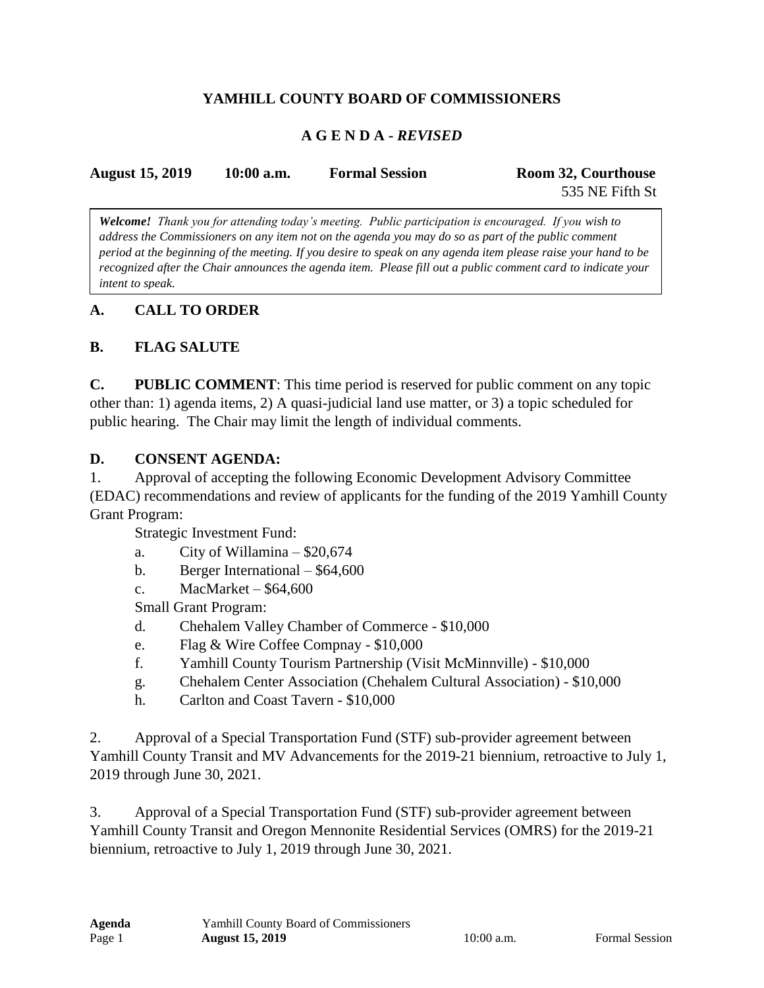### **YAMHILL COUNTY BOARD OF COMMISSIONERS**

### **A G E N D A -** *REVISED*

| <b>August 15, 2019</b> | $10:00$ a.m. | <b>Formal Session</b> | Room 32, Courthouse |
|------------------------|--------------|-----------------------|---------------------|
|                        |              |                       | 535 NE Fifth St     |

*Welcome! Thank you for attending today's meeting. Public participation is encouraged. If you wish to address the Commissioners on any item not on the agenda you may do so as part of the public comment period at the beginning of the meeting. If you desire to speak on any agenda item please raise your hand to be recognized after the Chair announces the agenda item. Please fill out a public comment card to indicate your intent to speak.*

### **A. CALL TO ORDER**

### **B. FLAG SALUTE**

**C. PUBLIC COMMENT**: This time period is reserved for public comment on any topic other than: 1) agenda items, 2) A quasi-judicial land use matter, or 3) a topic scheduled for public hearing. The Chair may limit the length of individual comments.

#### **D. CONSENT AGENDA:**

1. Approval of accepting the following Economic Development Advisory Committee (EDAC) recommendations and review of applicants for the funding of the 2019 Yamhill County Grant Program:

Strategic Investment Fund:

- a. City of Willamina  $-$  \$20,674
- b. Berger International \$64,600
- c. MacMarket  $$64,600$

Small Grant Program:

- d. Chehalem Valley Chamber of Commerce \$10,000
- e. Flag & Wire Coffee Compnay \$10,000
- f. Yamhill County Tourism Partnership (Visit McMinnville) \$10,000
- g. Chehalem Center Association (Chehalem Cultural Association) \$10,000
- h. Carlton and Coast Tavern \$10,000

2. Approval of a Special Transportation Fund (STF) sub-provider agreement between Yamhill County Transit and MV Advancements for the 2019-21 biennium, retroactive to July 1, 2019 through June 30, 2021.

3. Approval of a Special Transportation Fund (STF) sub-provider agreement between Yamhill County Transit and Oregon Mennonite Residential Services (OMRS) for the 2019-21 biennium, retroactive to July 1, 2019 through June 30, 2021.